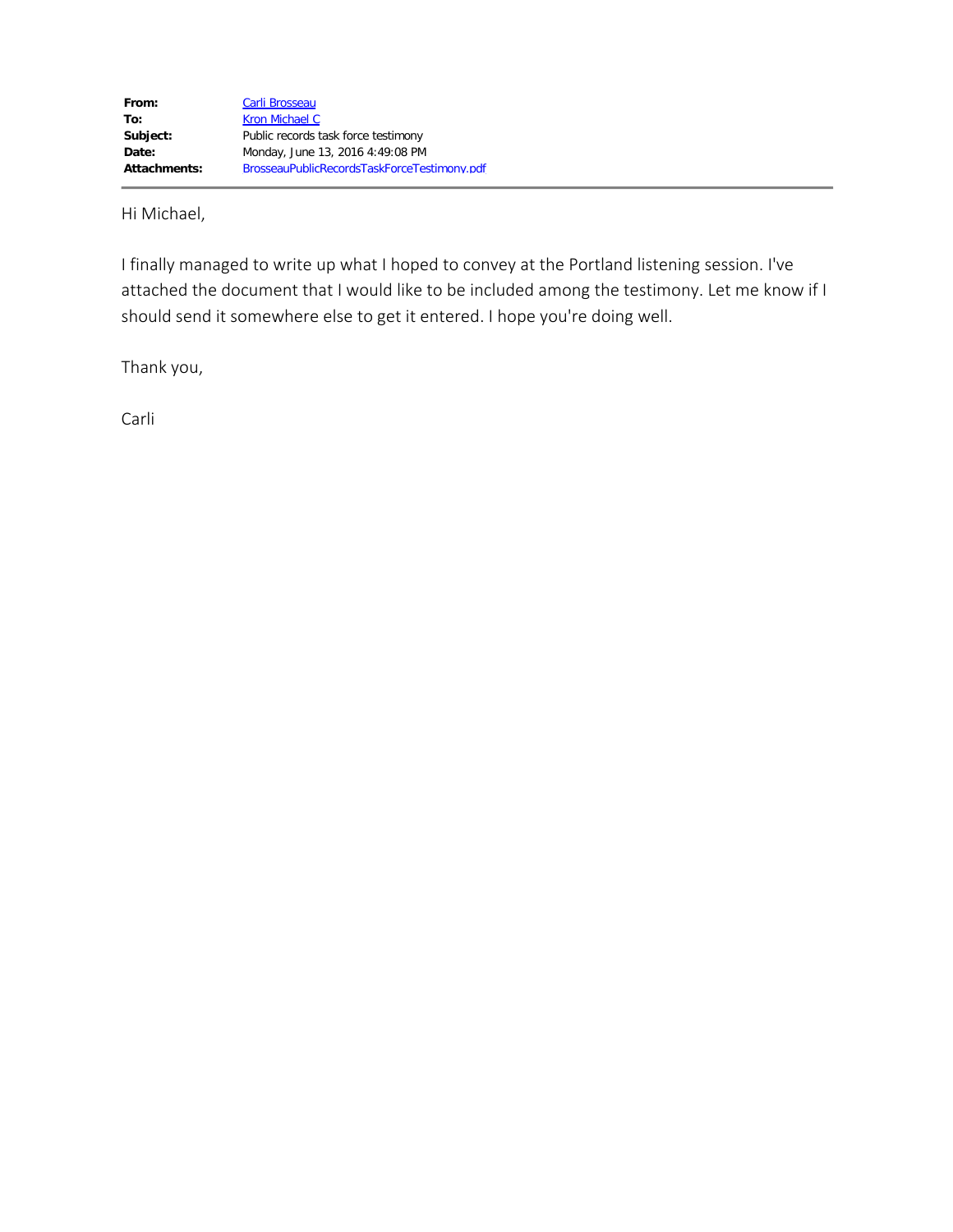Hi Michael,

I finally managed to write up what I hoped to convey at the Portland listening session. I've attached the document that I would like to be included among the testimony. Let me know if I should send it somewhere else to get it entered. I hope you're doing well.

Thank you,

Carli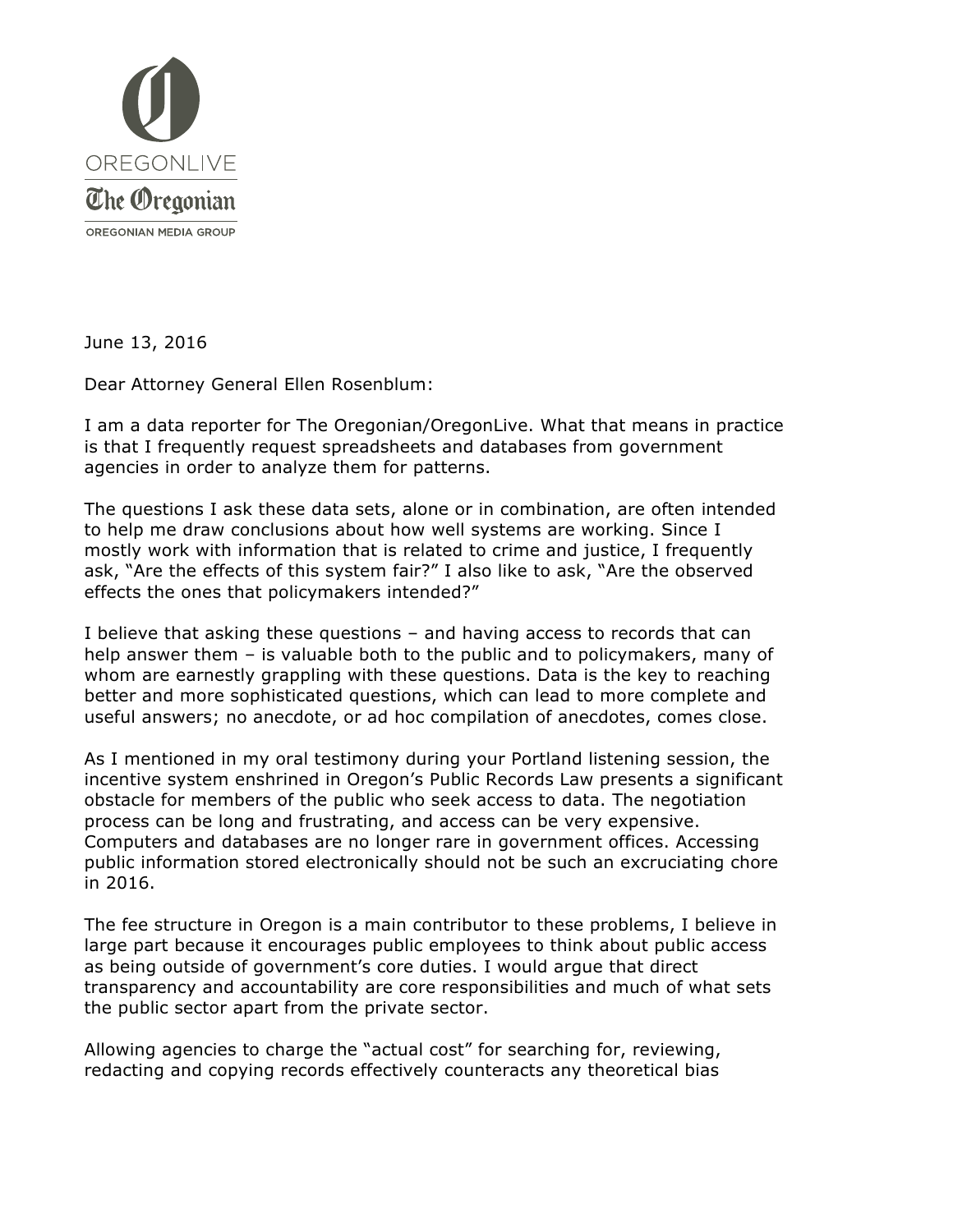

June 13, 2016

Dear Attorney General Ellen Rosenblum:

I am a data reporter for The Oregonian/OregonLive. What that means in practice is that I frequently request spreadsheets and databases from government agencies in order to analyze them for patterns.

The questions I ask these data sets, alone or in combination, are often intended to help me draw conclusions about how well systems are working. Since I mostly work with information that is related to crime and justice, I frequently ask, "Are the effects of this system fair?" I also like to ask, "Are the observed effects the ones that policymakers intended?"

I believe that asking these questions – and having access to records that can help answer them – is valuable both to the public and to policymakers, many of whom are earnestly grappling with these questions. Data is the key to reaching better and more sophisticated questions, which can lead to more complete and useful answers; no anecdote, or ad hoc compilation of anecdotes, comes close.

As I mentioned in my oral testimony during your Portland listening session, the incentive system enshrined in Oregon's Public Records Law presents a significant obstacle for members of the public who seek access to data. The negotiation process can be long and frustrating, and access can be very expensive. Computers and databases are no longer rare in government offices. Accessing public information stored electronically should not be such an excruciating chore in 2016.

The fee structure in Oregon is a main contributor to these problems, I believe in large part because it encourages public employees to think about public access as being outside of government's core duties. I would argue that direct transparency and accountability are core responsibilities and much of what sets the public sector apart from the private sector.

Allowing agencies to charge the "actual cost" for searching for, reviewing, redacting and copying records effectively counteracts any theoretical bias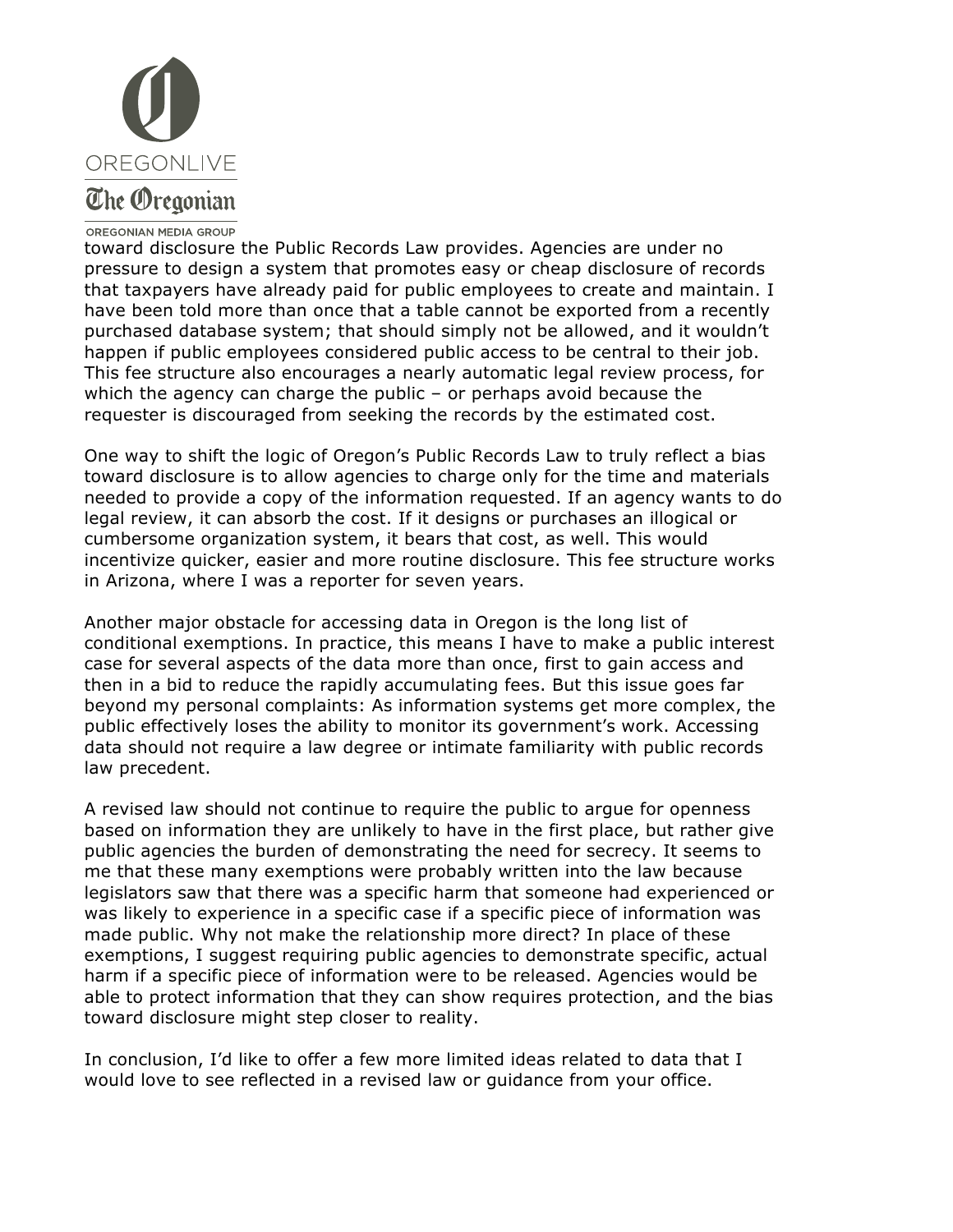

## The Oregonian

## OREGONIAN MEDIA GROUP

toward disclosure the Public Records Law provides. Agencies are under no pressure to design a system that promotes easy or cheap disclosure of records that taxpayers have already paid for public employees to create and maintain. I have been told more than once that a table cannot be exported from a recently purchased database system; that should simply not be allowed, and it wouldn't happen if public employees considered public access to be central to their job. This fee structure also encourages a nearly automatic legal review process, for which the agency can charge the public – or perhaps avoid because the requester is discouraged from seeking the records by the estimated cost.

One way to shift the logic of Oregon's Public Records Law to truly reflect a bias toward disclosure is to allow agencies to charge only for the time and materials needed to provide a copy of the information requested. If an agency wants to do legal review, it can absorb the cost. If it designs or purchases an illogical or cumbersome organization system, it bears that cost, as well. This would incentivize quicker, easier and more routine disclosure. This fee structure works in Arizona, where I was a reporter for seven years.

Another major obstacle for accessing data in Oregon is the long list of conditional exemptions. In practice, this means I have to make a public interest case for several aspects of the data more than once, first to gain access and then in a bid to reduce the rapidly accumulating fees. But this issue goes far beyond my personal complaints: As information systems get more complex, the public effectively loses the ability to monitor its government's work. Accessing data should not require a law degree or intimate familiarity with public records law precedent.

A revised law should not continue to require the public to argue for openness based on information they are unlikely to have in the first place, but rather give public agencies the burden of demonstrating the need for secrecy. It seems to me that these many exemptions were probably written into the law because legislators saw that there was a specific harm that someone had experienced or was likely to experience in a specific case if a specific piece of information was made public. Why not make the relationship more direct? In place of these exemptions, I suggest requiring public agencies to demonstrate specific, actual harm if a specific piece of information were to be released. Agencies would be able to protect information that they can show requires protection, and the bias toward disclosure might step closer to reality.

In conclusion, I'd like to offer a few more limited ideas related to data that I would love to see reflected in a revised law or guidance from your office.